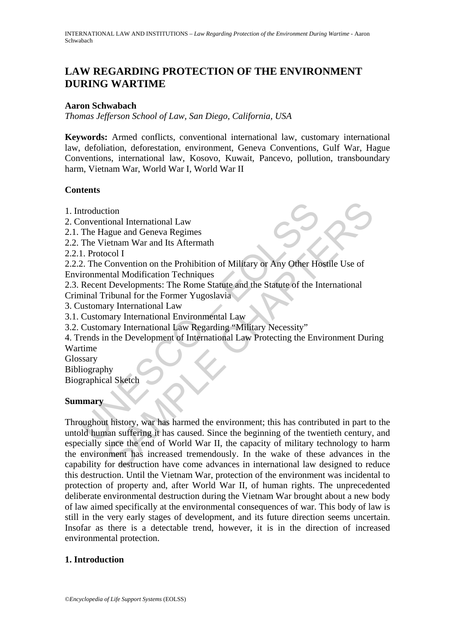# **LAW REGARDING PROTECTION OF THE ENVIRONMENT DURING WARTIME**

### **Aaron Schwabach**

*Thomas Jefferson School of Law, San Diego, California, USA* 

**Keywords:** Armed conflicts, conventional international law, customary international law, defoliation, deforestation, environment, Geneva Conventions, Gulf War, Hague Conventions, international law, Kosovo, Kuwait, Pancevo, pollution, transboundary harm, Vietnam War, World War I, World War II

### **Contents**

- 1. Introduction
- 2. Conventional International Law
- 2.1. The Hague and Geneva Regimes
- 2.2. The Vietnam War and Its Aftermath
- 2.2.1. Protocol I
- 2.2.2. The Convention on the Prohibition of Military or Any Other Hostile Use of Environmental Modification Techniques
- 2.3. Recent Developments: The Rome Statute and the Statute of the International
- Criminal Tribunal for the Former Yugoslavia
- 3. Customary International Law
- 3.1. Customary International Environmental Law
- 3.2. Customary International Law Regarding "Military Necessity"
- 4. Trends in the Development of International Law Protecting the Environment During Wartime
- Glossary
- Bibliography

Biographical Sketch

### **Summary**

ntroduction<br>
onventional International Law<br>
The Hague and Geneva Regimes<br>
The Vietnam War and Its Aftermath<br>
1. Protocol I<br>
2. The Convention on the Prohibition of Military or Any Other Hc<br>
iromental Modification Technique The main War and Its Aftermath<br>
Should International Law<br>
Seol I<br>
Show and Its Aftermath<br>
Scol I<br>
Convention on the Prohibition of Military or Any Other Hostile Use of<br>
that Modification Techniques<br>
The Rome Statute and th Throughout history, war has harmed the environment; this has contributed in part to the untold human suffering it has caused. Since the beginning of the twentieth century, and especially since the end of World War II, the capacity of military technology to harm the environment has increased tremendously. In the wake of these advances in the capability for destruction have come advances in international law designed to reduce this destruction. Until the Vietnam War, protection of the environment was incidental to protection of property and, after World War II, of human rights. The unprecedented deliberate environmental destruction during the Vietnam War brought about a new body of law aimed specifically at the environmental consequences of war. This body of law is still in the very early stages of development, and its future direction seems uncertain. Insofar as there is a detectable trend, however, it is in the direction of increased environmental protection.

# **1. Introduction**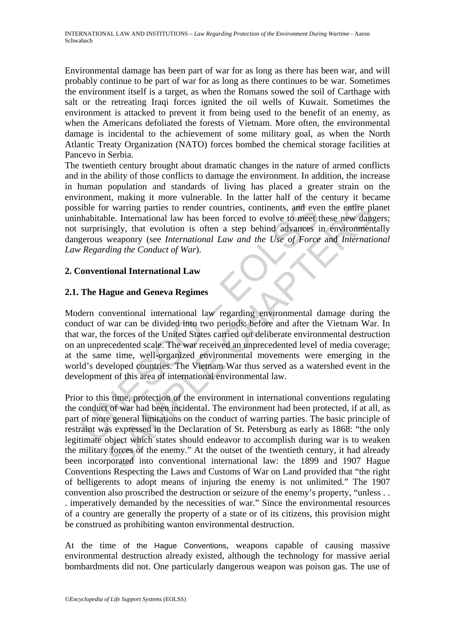Environmental damage has been part of war for as long as there has been war, and will probably continue to be part of war for as long as there continues to be war. Sometimes the environment itself is a target, as when the Romans sowed the soil of Carthage with salt or the retreating Iraqi forces ignited the oil wells of Kuwait. Sometimes the environment is attacked to prevent it from being used to the benefit of an enemy, as when the Americans defoliated the forests of Vietnam. More often, the environmental damage is incidental to the achievement of some military goal, as when the North Atlantic Treaty Organization (NATO) forces bombed the chemical storage facilities at Pancevo in Serbia.

The twentieth century brought about dramatic changes in the nature of armed conflicts and in the ability of those conflicts to damage the environment. In addition, the increase in human population and standards of living has placed a greater strain on the environment, making it more vulnerable. In the latter half of the century it became possible for warring parties to render countries, continents, and even the entire planet uninhabitable. International law has been forced to evolve to meet these new dangers; not surprisingly, that evolution is often a step behind advances in environmentally dangerous weaponry (see *International Law and the Use of Force* and *International Law Regarding the Conduct of War*).

# **2. Conventional International Law**

# **2.1. The Hague and Geneva Regimes**

ible for warring parties to render countries, continents, and everythe<br>sible for warring parties to render countries, continents, and everythe<br>superprisingly, that evolution is often a step behind advances i<br>gerous weaponr Modern conventional international law regarding environmental damage during the conduct of war can be divided into two periods: before and after the Vietnam War. In that war, the forces of the United States carried out deliberate environmental destruction on an unprecedented scale. The war received an unprecedented level of media coverage; at the same time, well-organized environmental movements were emerging in the world's developed countries. The Vietnam War thus served as a watershed event in the development of this area of international environmental law.

International law has been forced to evolve to meet the entire photon (movements) particle international law has been forced to evolve to meet these new dampingly, that evolution is often a step behind advances in environ Prior to this time, protection of the environment in international conventions regulating the conduct of war had been incidental. The environment had been protected, if at all, as part of more general limitations on the conduct of warring parties. The basic principle of restraint was expressed in the Declaration of St. Petersburg as early as 1868: "the only legitimate object which states should endeavor to accomplish during war is to weaken the military forces of the enemy." At the outset of the twentieth century, it had already been incorporated into conventional international law: the 1899 and 1907 Hague Conventions Respecting the Laws and Customs of War on Land provided that "the right of belligerents to adopt means of injuring the enemy is not unlimited." The 1907 convention also proscribed the destruction or seizure of the enemy's property, "unless . . . imperatively demanded by the necessities of war." Since the environmental resources of a country are generally the property of a state or of its citizens, this provision might be construed as prohibiting wanton environmental destruction.

At the time of the Hague Conventions, weapons capable of causing massive environmental destruction already existed, although the technology for massive aerial bombardments did not. One particularly dangerous weapon was poison gas. The use of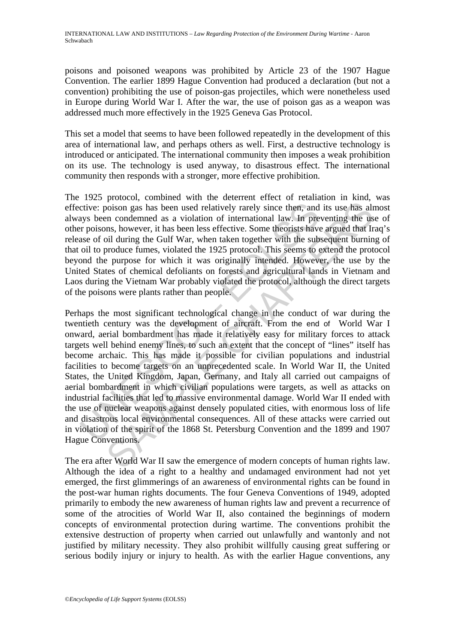poisons and poisoned weapons was prohibited by Article 23 of the 1907 Hague Convention. The earlier 1899 Hague Convention had produced a declaration (but not a convention) prohibiting the use of poison-gas projectiles, which were nonetheless used in Europe during World War I. After the war, the use of poison gas as a weapon was addressed much more effectively in the 1925 Geneva Gas Protocol.

This set a model that seems to have been followed repeatedly in the development of this area of international law, and perhaps others as well. First, a destructive technology is introduced or anticipated. The international community then imposes a weak prohibition on its use. The technology is used anyway, to disastrous effect. The international community then responds with a stronger, more effective prohibition.

The 1925 protocol, combined with the deterrent effect of retaliation in kind, was effective: poison gas has been used relatively rarely since then, and its use has almost always been condemned as a violation of international law. In preventing the use of other poisons, however, it has been less effective. Some theorists have argued that Iraq's release of oil during the Gulf War, when taken together with the subsequent burning of that oil to produce fumes, violated the 1925 protocol. This seems to extend the protocol beyond the purpose for which it was originally intended. However, the use by the United States of chemical defoliants on forests and agricultural lands in Vietnam and Laos during the Vietnam War probably violated the protocol, although the direct targets of the poisons were plants rather than people.

cive: poison gas has been used relatively rarely since then, and<br>exive: poison gas has been used relatively rarely since then, and<br>ays been condemned as a violation of international law. In pre<br>r poisons, however, it has b isotion gas has been used relatively variety since then, and its use has alm condemned as a violation of international law. In preventing the uses, showever, it has been less effective. Some thoroids have I mediate I suita Perhaps the most significant technological change in the conduct of war during the twentieth century was the development of aircraft. From the end of World War I onward, aerial bombardment has made it relatively easy for military forces to attack targets well behind enemy lines, to such an extent that the concept of "lines" itself has become archaic. This has made it possible for civilian populations and industrial facilities to become targets on an unprecedented scale. In World War II, the United States, the United Kingdom, Japan, Germany, and Italy all carried out campaigns of aerial bombardment in which civilian populations were targets, as well as attacks on industrial facilities that led to massive environmental damage. World War II ended with the use of nuclear weapons against densely populated cities, with enormous loss of life and disastrous local environmental consequences. All of these attacks were carried out in violation of the spirit of the 1868 St. Petersburg Convention and the 1899 and 1907 Hague Conventions.

The era after World War II saw the emergence of modern concepts of human rights law. Although the idea of a right to a healthy and undamaged environment had not yet emerged, the first glimmerings of an awareness of environmental rights can be found in the post-war human rights documents. The four Geneva Conventions of 1949, adopted primarily to embody the new awareness of human rights law and prevent a recurrence of some of the atrocities of World War II, also contained the beginnings of modern concepts of environmental protection during wartime. The conventions prohibit the extensive destruction of property when carried out unlawfully and wantonly and not justified by military necessity. They also prohibit willfully causing great suffering or serious bodily injury or injury to health. As with the earlier Hague conventions, any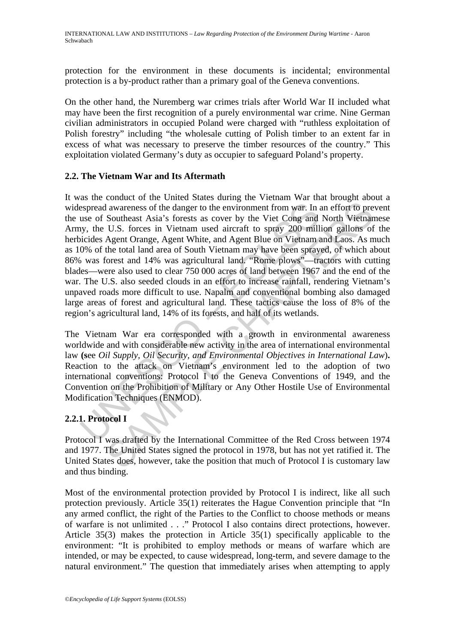protection for the environment in these documents is incidental; environmental protection is a by-product rather than a primary goal of the Geneva conventions.

On the other hand, the Nuremberg war crimes trials after World War II included what may have been the first recognition of a purely environmental war crime. Nine German civilian administrators in occupied Poland were charged with "ruthless exploitation of Polish forestry" including "the wholesale cutting of Polish timber to an extent far in excess of what was necessary to preserve the timber resources of the country." This exploitation violated Germany's duty as occupier to safeguard Poland's property.

# **2.2. The Vietnam War and Its Aftermath**

espread awareness of the danger to the environment from war. In suse of Southeast Asia's forests as cover by the Viet Cong and by, the U.S. forces in Vietnam used aircraft to spray 200 mill<br>ocides Agent Orange, Agent White I awareness of the danger to the environment from war. In an effort to pre<br>
Southeast Asia's forests as cover by the Viet Cong and North Vietnan<br>
U.S. forces in Vietnam used aircraft to spray 200 million gallons of<br>
Agent It was the conduct of the United States during the Vietnam War that brought about a widespread awareness of the danger to the environment from war. In an effort to prevent the use of Southeast Asia's forests as cover by the Viet Cong and North Vietnamese Army, the U.S. forces in Vietnam used aircraft to spray 200 million gallons of the herbicides Agent Orange, Agent White, and Agent Blue on Vietnam and Laos. As much as 10% of the total land area of South Vietnam may have been sprayed, of which about 86% was forest and 14% was agricultural land. "Rome plows"—tractors with cutting blades—were also used to clear 750 000 acres of land between 1967 and the end of the war. The U.S. also seeded clouds in an effort to increase rainfall, rendering Vietnam's unpaved roads more difficult to use. Napalm and conventional bombing also damaged large areas of forest and agricultural land. These tactics cause the loss of 8% of the region's agricultural land, 14% of its forests, and half of its wetlands.

The Vietnam War era corresponded with a growth in environmental awareness worldwide and with considerable new activity in the area of international environmental law **(s**ee *Oil Supply, Oil Security, and Environmental Objectives in International Law*)**.** Reaction to the attack on Vietnam's environment led to the adoption of two international conventions: Protocol I to the Geneva Conventions of 1949, and the Convention on the Prohibition of Military or Any Other Hostile Use of Environmental Modification Techniques (ENMOD).

# **2.2.1. Protocol I**

Protocol I was drafted by the International Committee of the Red Cross between 1974 and 1977. The United States signed the protocol in 1978, but has not yet ratified it. The United States does, however, take the position that much of Protocol I is customary law and thus binding.

Most of the environmental protection provided by Protocol I is indirect, like all such protection previously. Article 35(1) reiterates the Hague Convention principle that "In any armed conflict, the right of the Parties to the Conflict to choose methods or means of warfare is not unlimited . . ." Protocol I also contains direct protections, however. Article 35(3) makes the protection in Article 35(1) specifically applicable to the environment: "It is prohibited to employ methods or means of warfare which are intended, or may be expected, to cause widespread, long-term, and severe damage to the natural environment." The question that immediately arises when attempting to apply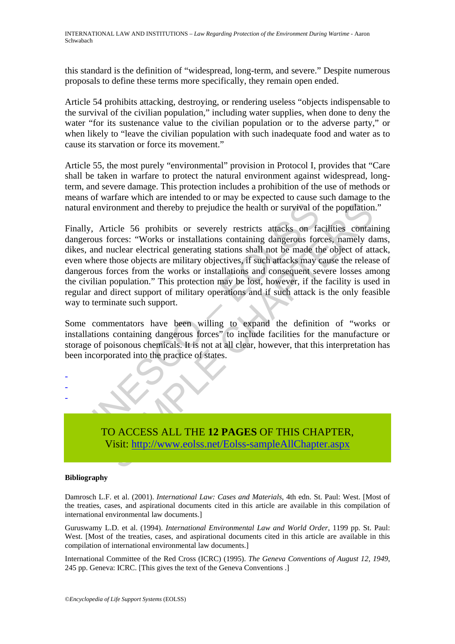this standard is the definition of "widespread, long-term, and severe." Despite numerous proposals to define these terms more specifically, they remain open ended.

Article 54 prohibits attacking, destroying, or rendering useless "objects indispensable to the survival of the civilian population," including water supplies, when done to deny the water "for its sustenance value to the civilian population or to the adverse party," or when likely to "leave the civilian population with such inadequate food and water as to cause its starvation or force its movement."

Article 55, the most purely "environmental" provision in Protocol I, provides that "Care shall be taken in warfare to protect the natural environment against widespread, longterm, and severe damage. This protection includes a prohibition of the use of methods or means of warfare which are intended to or may be expected to cause such damage to the natural environment and thereby to prejudice the health or survival of the population."

The motion and thereby to prejudice the health or survival of<br>the second forces: "Works or installations containing dangerous forces: "Works or installations containing dangerous forces."<br>Works constanting according transm iromment and thereby to prejudice the health or survival of the population<br>
iromment and thereby to prejudice the health or survival of the population<br>
ricele 56 prohibits or severely restricts attacks on facilities contai Finally, Article 56 prohibits or severely restricts attacks on facilities containing dangerous forces: "Works or installations containing dangerous forces, namely dams, dikes, and nuclear electrical generating stations shall not be made the object of attack, even where those objects are military objectives, if such attacks may cause the release of dangerous forces from the works or installations and consequent severe losses among the civilian population." This protection may be lost, however, if the facility is used in regular and direct support of military operations and if such attack is the only feasible way to terminate such support.

Some commentators have been willing to expand the definition of "works or installations containing dangerous forces" to include facilities for the manufacture or storage of poisonous chemicals. It is not at all clear, however, that this interpretation has been incorporated into the practice of states.



#### **Bibliography**

- - -

Damrosch L.F. et al. (2001). *International Law: Cases and Materials*, 4th edn. St. Paul: West. [Most of the treaties, cases, and aspirational documents cited in this article are available in this compilation of international environmental law documents.]

Guruswamy L.D. et al. (1994). *International Environmental Law and World Order*, 1199 pp. St. Paul: West. [Most of the treaties, cases, and aspirational documents cited in this article are available in this compilation of international environmental law documents.]

International Committee of the Red Cross (ICRC) (1995). *The Geneva Conventions of August 12, 1949*, 245 pp. Geneva: ICRC. [This gives the text of the Geneva Conventions .]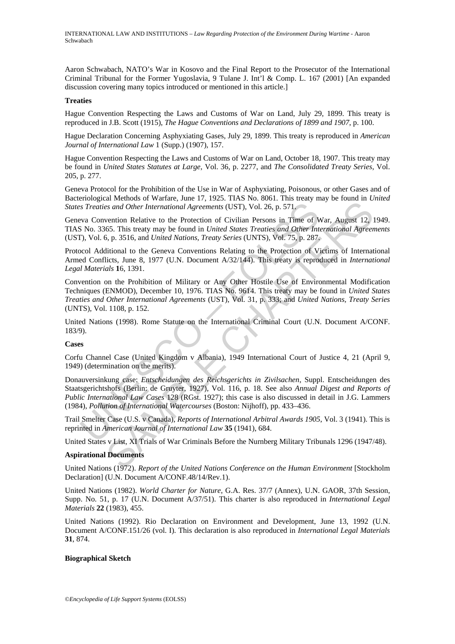Aaron Schwabach, NATO's War in Kosovo and the Final Report to the Prosecutor of the International Criminal Tribunal for the Former Yugoslavia, 9 Tulane J. Int'l & Comp. L. 167 (2001) [An expanded discussion covering many topics introduced or mentioned in this article.]

#### **Treaties**

Hague Convention Respecting the Laws and Customs of War on Land, July 29, 1899. This treaty is reproduced in J.B. Scott (1915), *The Hague Conventions and Declarations of 1899 and 1907*, p. 100.

Hague Declaration Concerning Asphyxiating Gases, July 29, 1899. This treaty is reproduced in *American Journal of International Law* 1 (Supp.) (1907), 157.

Hague Convention Respecting the Laws and Customs of War on Land, October 18, 1907. This treaty may be found in *United States Statutes at Large*, Vol. 36, p. 2277, and *The Consolidated Treaty Series*, Vol. 205, p. 277.

Geneva Protocol for the Prohibition of the Use in War of Asphyxiating, Poisonous, or other Gases and of Bacteriological Methods of Warfare, June 17, 1925. TIAS No. 8061. This treaty may be found in *United States Treaties and Other International Agreements* (UST), Vol. 26, p. 571.

Geneva Convention Relative to the Protection of Civilian Persons in Time of War, August 12, 1949. TIAS No. 3365. This treaty may be found in *United States Treaties and Other International Agreements* (UST), Vol. 6, p. 3516, and *United Nations, Treaty Series* (UNTS), Vol. 75, p. 287.

Protocol Additional to the Geneva Conventions Relating to the Protection of Victims of International Armed Conflicts, June 8, 1977 (U.N. Document A/32/144). This treaty is reproduced in *International Legal Materials* **1**6, 1391.

Convention on the Prohibition of Military or Any Other Hostile Use of Environmental Modification Techniques (ENMOD), December 10, 1976. TIAS No. 9614. This treaty may be found in *United States Treaties and Other International Agreements* (UST), Vol. 31, p. 333; and *United Nations, Treaty Series* (UNTS), Vol. 1108, p. 152.

United Nations (1998). Rome Statute on the International Criminal Court (U.N. Document A/CONF. 183/9).

#### **Cases**

Corfu Channel Case (United Kingdom v Albania), 1949 International Court of Justice 4, 21 (April 9, 1949) (determination on the merits).

Is Treaties and Other International Agreements (UST), Vol. 26, p. 571,<br>
wa Convention Relative to the Protection of Civilian Persons in Time of V<br>
No. 3365. This treaty may be found in *United States Treaties and Other Int* as reactions relational Agreements (UST), Vol. 26, p. 371,<br>as and Other International Agreements (UST), Vol. 26, p. 371,<br>exercition Relative to the Protection of Civilian Persons in Time of War, August 12,<br>65. This treaty Donauversinkung case: *Entscheidungen des Reichsgerichts in Zivilsachen*, Suppl. Entscheidungen des Staatsgerichtshofs (Berlin: de Gruyter, 1927), Vol. 116, p. 18. See also *Annual Digest and Reports of Public International Law Cases* 128 (RGst. 1927); this case is also discussed in detail in J.G. Lammers (1984), *Pollution of International Watercourses* (Boston: Nijhoff), pp. 433–436.

Trail Smelter Case (U.S. v Canada), *Reports of International Arbitral Awards 1905*, Vol. 3 (1941). This is reprinted in *American Journal of International Law* **35** (1941), 684.

United States v List, XI Trials of War Criminals Before the Nurnberg Military Tribunals 1296 (1947/48).

#### **Aspirational Documents**

United Nations (1972). *Report of the United Nations Conference on the Human Environment* [Stockholm Declaration] (U.N. Document A/CONF.48/14/Rev.1).

United Nations (1982). *World Charter for Nature*, G.A. Res. 37/7 (Annex), U.N. GAOR, 37th Session, Supp. No. 51, p. 17 (U.N. Document A/37/51). This charter is also reproduced in *International Legal Materials* **22** (1983), 455.

United Nations (1992). Rio Declaration on Environment and Development, June 13, 1992 (U.N. Document A/CONF.151/26 (vol. I). This declaration is also reproduced in *International Legal Materials* **31**, 874.

#### **Biographical Sketch**